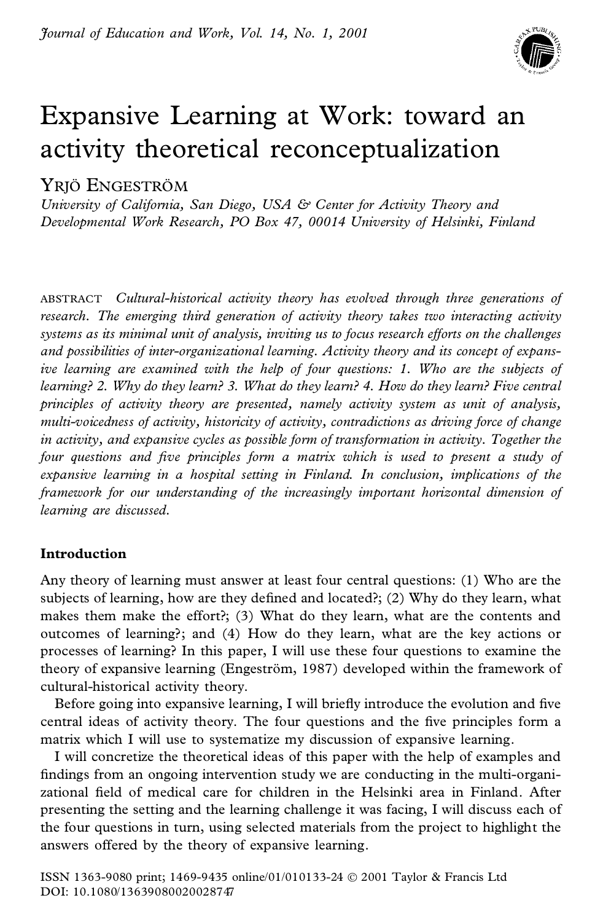

# Expansive Learning at Work: toward an activity theoretical reconceptualization

YRIÖ ENGESTRÖM

*University of California, San Diego, USA & Center for Activity Theory and Developmental Work Research, PO Box 47, 00014 University of Helsinki, Finland*

ABSTRACT *Cultural-historical activity theory has evolved through three generations of research. The emerging third generation of activity theory takes two interacting activity systems as its minimal unit of analysis, inviting us to focus research efforts on the challenges and possibilities of inter-organizational learning. Activity theory and its concept of expansive learning are examined with the help of four questions: 1. Who are the subjects of learning? 2. Why do they learn? 3. What do they learn? 4. How do they learn? Five central principles of activity theory are presented, namely activity system as unit of analysis, multi-voicedness of activity, historicity of activity, contradictions as driving force of change in activity, and expansive cycles as possible form of transformation in activity. Together the four questions and ve principles form a matrix which is used to present a study of expansive learning in a hospital setting in Finland. In conclusion, implications of the framework for our understanding of the increasingly important horizontal dimension of learning are discussed.*

## **Introduction**

Any theory of learning must answer at least four central questions: (1) Who are the subjects of learning, how are they defined and located?;  $(2)$  Why do they learn, what makes them make the effort?; (3) What do they learn, what are the contents and outcomes of learning?; and (4) How do they learn, what are the key actions or processes of learning? In this paper, I will use these four questions to examine the theory of expansive learning (Engeström, 1987) developed within the framework of cultural-historical activity theory.

Before going into expansive learning, I will briefly introduce the evolution and five central ideas of activity theory. The four questions and the five principles form a matrix which I will use to systematize my discussion of expansive learning.

I will concretize the theoretical ideas of this paper with the help of examples and findings from an ongoing intervention study we are conducting in the multi-organizational field of medical care for children in the Helsinki area in Finland. After presenting the setting and the learning challenge it was facing, I will discuss each of the four questions in turn, using selected materials from the project to highlight the answers offered by the theory of expansive learning.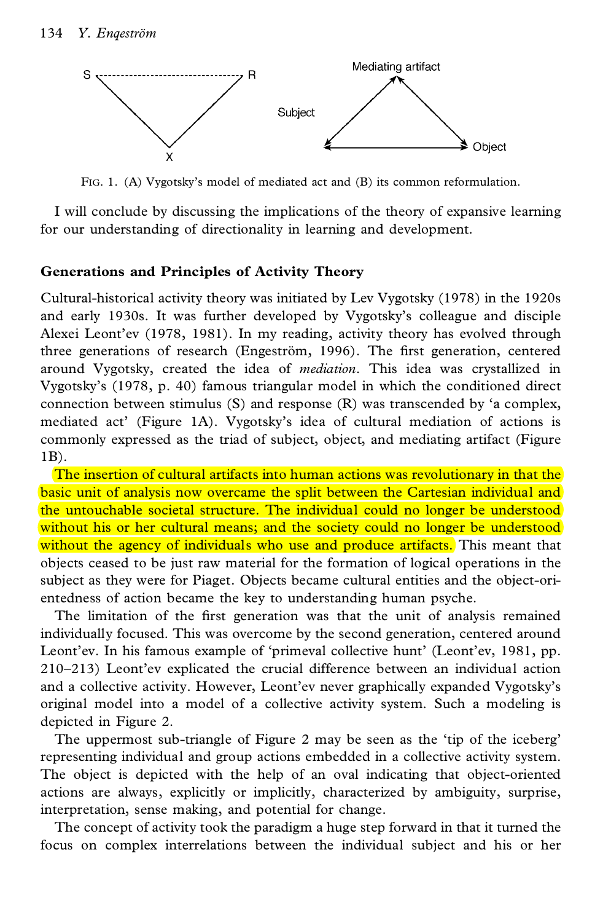

FIG. 1. (A) Vygotsky's model of mediated act and (B) its common reformulation.

I will conclude by discussing the implications of the theory of expansive learning for our understanding of directionality in learning and development.

#### **Generations and Principles of Activity Theory**

Cultural-historical activity theory was initiated by Lev Vygotsky (1978) in the 1920s and early 1930s. It was further developed by Vygotsky's colleague and disciple Alexei Leont'ev (1978, 1981). In my reading, activity theory has evolved through three generations of research (Engeström, 1996). The first generation, centered around Vygotsky, created the idea of *mediation*. This idea was crystallized in Vygotsky's (1978, p. 40) famous triangular model in which the conditioned direct connection between stimulus (S) and response (R) was transcended by 'a complex, mediated act' (Figure 1A). Vygotsky's idea of cultural mediation of actions is commonly expressed as the triad of subject, object, and mediating artifact (Figure 1B).

The insertion of cultural artifacts into human actions was revolutionary in that the basic unit of analysis now overcame the split between the Cartesian individual and the untouchable societal structure. The individual could no longer be understood without his or her cultural means; and the society could no longer be understood without the agency of individuals who use and produce artifacts. This meant that objects ceased to be just raw material for the formation of logical operations in the subject as they were for Piaget. Objects became cultural entities and the object-ori entedness of action became the key to understanding human psyche.

The limitation of the first generation was that the unit of analysis remained individually focused. This was overcome by the second generation, centered around Leont'ev. In his famous example of 'primeval collective hunt' (Leont'ev, 1981, pp. 210–213) Leont'ev explicated the crucial difference between an individual action and a collective activity. However, Leont'ev never graphically expanded Vygotsky's original model into a model of a collective activity system. Such a modeling is depicted in Figure 2.

The uppermost sub-triangle of Figure 2 may be seen as the 'tip of the iceberg' representing individual and group actions embedded in a collective activity system. The object is depicted with the help of an oval indicating that object-oriented actions are always, explicitly or implicitly, characterized by ambiguity, surprise, interpretation, sense making, and potential for change.

The concept of activity took the paradigm a huge step forward in that it turned the focus on complex interrelations between the individual subject and his or her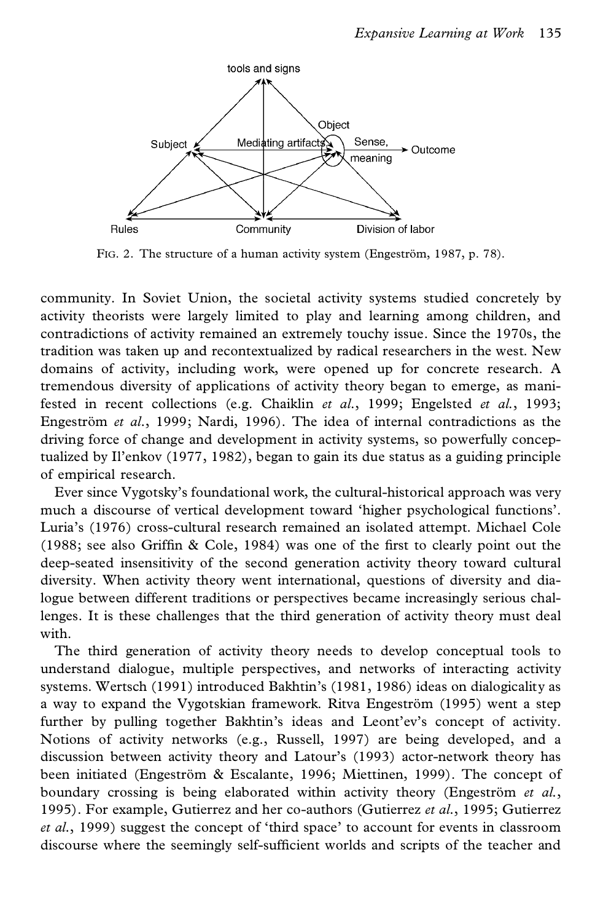

FIG. 2. The structure of a human activity system (Engeström, 1987, p. 78).

community. In Soviet Union, the societal activity systems studied concretely by activity theorists were largely limited to play and learning among children, and contradictions of activity remained an extremely touchy issue. Since the 1970s, the tradition was taken up and recontextualized by radical researchers in the west. New domains of activity, including work, were opened up for concrete research. A tremendous diversity of applications of activity theory began to emerge, as manifested in recent collections (e.g. Chaiklin *et al.*, 1999; Engelsted *et al.*, 1993; Engeström *et al.*, 1999; Nardi, 1996). The idea of internal contradictions as the driving force of change and development in activity systems, so powerfully conceptualized by Il'enkov (1977, 1982), began to gain its due status as a guiding principle of empirical research.

Ever since Vygotsky's foundational work, the cultural-historical approach was very much a discourse of vertical development toward 'higher psychological functions'. Luria's (1976) cross-cultural research remained an isolated attempt. Michael Cole (1988; see also Griffin & Cole, 1984) was one of the first to clearly point out the deep-seated insensitivity of the second generation activity theory toward cultural diversity. When activity theory went international, questions of diversity and dialogue between different traditions or perspectives became increasingly serious challenges. It is these challenges that the third generation of activity theory must deal with.

The third generation of activity theory needs to develop conceptual tools to understand dialogue, multiple perspectives, and networks of interacting activity systems. Wertsch (1991) introduced Bakhtin's (1981, 1986) ideas on dialogicality as a way to expand the Vygotskian framework. Ritva Engeström (1995) went a step further by pulling together Bakhtin's ideas and Leont'ev's concept of activity. Notions of activity networks (e.g., Russell, 1997) are being developed, and a discussion between activity theory and Latour's (1993) actor-network theory has been initiated (Engeström & Escalante, 1996; Miettinen, 1999). The concept of boundary crossing is being elaborated within activity theory (Engeström et al., 1995). For example, Gutierrez and her co-authors (Gutierrez *et al.*, 1995; Gutierrez *et al.*, 1999) suggest the concept of 'third space' to account for events in classroom discourse where the seemingly self-sufficient worlds and scripts of the teacher and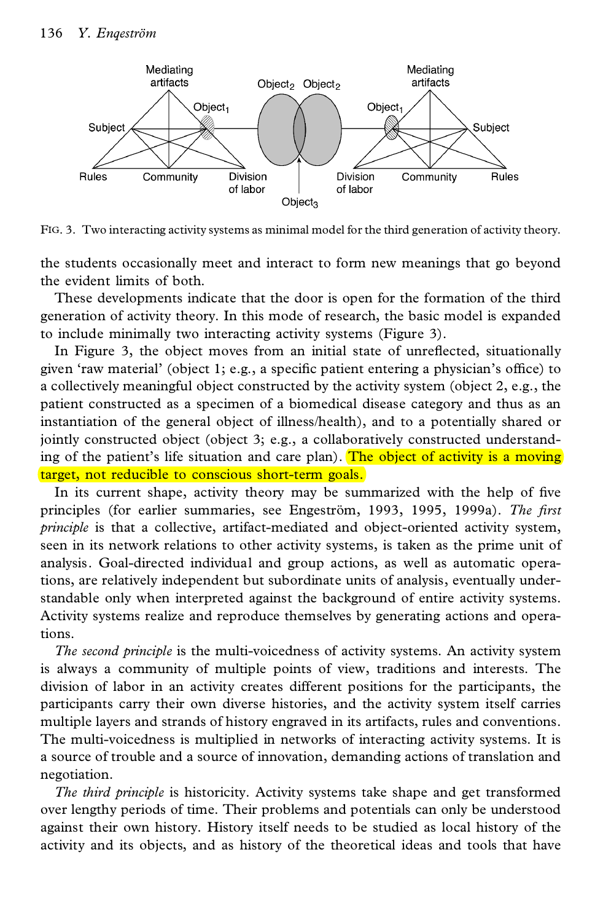

FIG. 3. Two interacting activity systems as minimal model for the third generation of activity theory.

the students occasionally meet and interact to form new meanings that go beyond the evident limits of both.

These developments indicate that the door is open for the formation of the third generation of activity theory. In this mode of research, the basic model is expanded to include minimally two interacting activity systems (Figure 3).

In Figure 3, the object moves from an initial state of unreflected, situationally given 'raw material' (object  $1$ ; e.g., a specific patient entering a physician's office) to a collectively meaningful object constructed by the activity system (object 2, e.g., the patient constructed as a specimen of a biomedical disease category and thus as an instantiation of the general object of illness/health), and to a potentially shared or jointly constructed object (object 3; e.g., a collaboratively constructed understanding of the patient's life situation and care plan). The object of activity is a moving target, not reducible to conscious short-term goals.

In its current shape, activity theory may be summarized with the help of five principles (for earlier summaries, see Engeström, 1993, 1995, 1999a). *The first principle* is that a collective, artifact-mediated and object-oriented activity system, seen in its network relations to other activity systems, is taken as the prime unit of analysis. Goal-directed individual and group actions, as well as automatic operations, are relatively independent but subordinate units of analysis, eventually understandable only when interpreted against the background of entire activity systems. Activity systems realize and reproduce themselves by generating actions and operations.

*The second principle* is the multi-voicedness of activity systems. An activity system is always a community of multiple points of view, traditions and interests. The division of labor in an activity creates different positions for the participants, the participants carry their own diverse histories, and the activity system itself carries multiple layers and strands of history engraved in its artifacts, rules and conventions. The multi-voicedness is multiplied in networks of interacting activity systems. It is a source of trouble and a source of innovation, demanding actions of translation and negotiation.

*The third principle* is historicity. Activity systems take shape and get transformed over lengthy periods of time. Their problems and potentials can only be understood against their own history. History itself needs to be studied as local history of the activity and its objects, and as history of the theoretical ideas and tools that have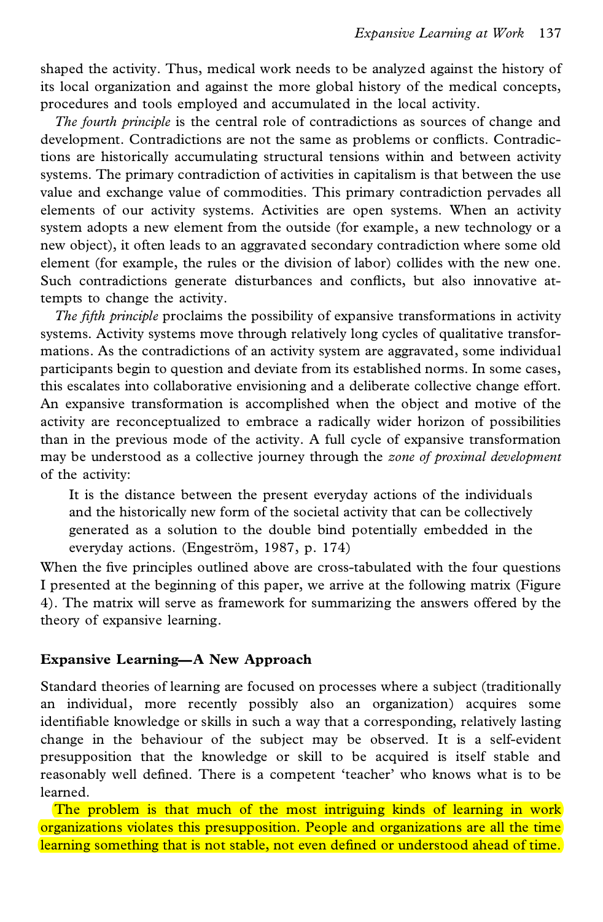shaped the activity. Thus, medical work needs to be analyzed against the history of its local organization and against the more global history of the medical concepts, procedures and tools employed and accumulated in the local activity.

*The fourth principle* is the central role of contradictions as sources of change and development. Contradictions are not the same as problems or conflicts. Contradictions are historically accumulating structural tensions within and between activity systems. The primary contradiction of activities in capitalism is that between the use value and exchange value of commodities. This primary contradiction pervades all elements of our activity systems. Activities are open systems. When an activity system adopts a new element from the outside (for example, a new technology or a new object), it often leads to an aggravated secondary contradiction where some old element (for example, the rules or the division of labor) collides with the new one. Such contradictions generate disturbances and conflicts, but also innovative attempts to change the activity.

*The fth principle* proclaims the possibility of expansive transformations in activity systems. Activity systems move through relatively long cycles of qualitative transfor mations. As the contradictions of an activity system are aggravated, some individual participants begin to question and deviate from its established norms. In some cases, this escalates into collaborative envisioning and a deliberate collective change effort. An expansive transformation is accomplished when the object and motive of the activity are reconceptualized to embrace a radically wider horizon of possibilities than in the previous mode of the activity. A full cycle of expansive transformation may be understood as a collective journey through the *zone of proximal development* of the activity:

It is the distance between the present everyday actions of the individuals and the historically new form of the societal activity that can be collectively generated as a solution to the double bind potentially embedded in the everyday actions. (Engeström, 1987, p. 174)

When the five principles outlined above are cross-tabulated with the four questions I presented at the beginning of this paper, we arrive at the following matrix (Figure 4). The matrix will serve as framework for summarizing the answers offered by the theory of expansive learning.

### **Expansive Learning—A New Approach**

Standard theories of learning are focused on processes where a subject (traditionally an individual, more recently possibly also an organization) acquires some identifiable knowledge or skills in such a way that a corresponding, relatively lasting change in the behaviour of the subject may be observed. It is a self-evident presupposition that the knowledge or skill to be acquired is itself stable and reasonably well defined. There is a competent 'teacher' who knows what is to be learned.

The problem is that much of the most intriguing kinds of learning in work organizations violates this presupposition. People and organizations are all the time learning something that is not stable, not even defined or understood ahead of time.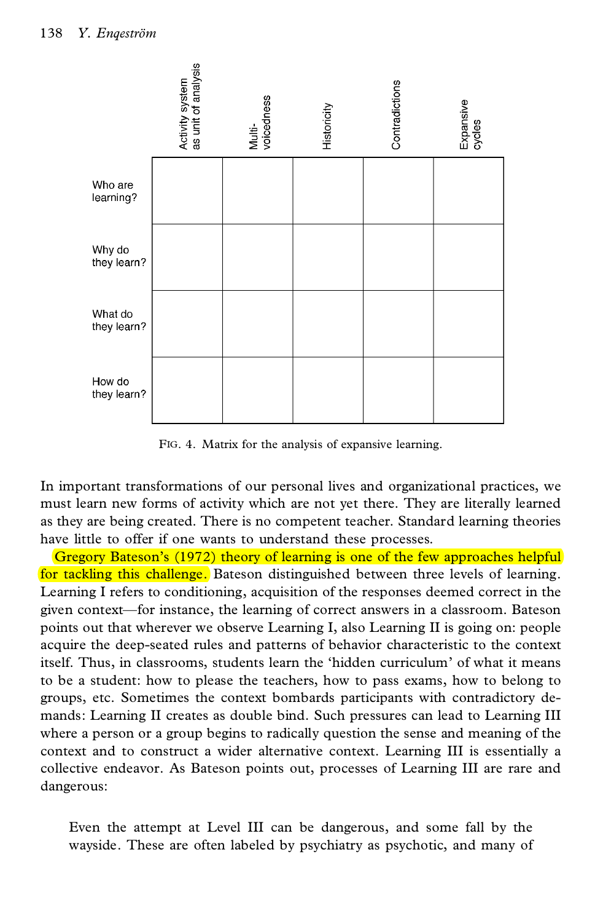

FIG. 4. Matrix for the analysis of expansive learning.

In important transformations of our personal lives and organizational practices, we must learn new forms of activity which are not yet there. They are literally learned as they are being created. There is no competent teacher. Standard learning theories have little to offer if one wants to understand these processes.

Gregory Bateson's (1972) theory of learning is one of the few approaches helpful for tackling this challenge. Bateson distinguished between three levels of learning. Learning I refers to conditioning, acquisition of the responses deemed correct in the given context—for instance, the learning of correct answers in a classroom. Bateson points out that wherever we observe Learning I, also Learning II is going on: people acquire the deep-seated rules and patterns of behavior characteristic to the context itself. Thus, in classrooms, students learn the 'hidden curriculum' of what it means to be a student: how to please the teachers, how to pass exams, how to belong to groups, etc. Sometimes the context bombards participants with contradictory de mands: Learning II creates as double bind. Such pressures can lead to Learning III where a person or a group begins to radically question the sense and meaning of the context and to construct a wider alternative context. Learning III is essentially a collective endeavor. As Bateson points out, processes of Learning III are rare and dangerous:

Even the attempt at Level III can be dangerous, and some fall by the wayside. These are often labeled by psychiatry as psychotic, and many of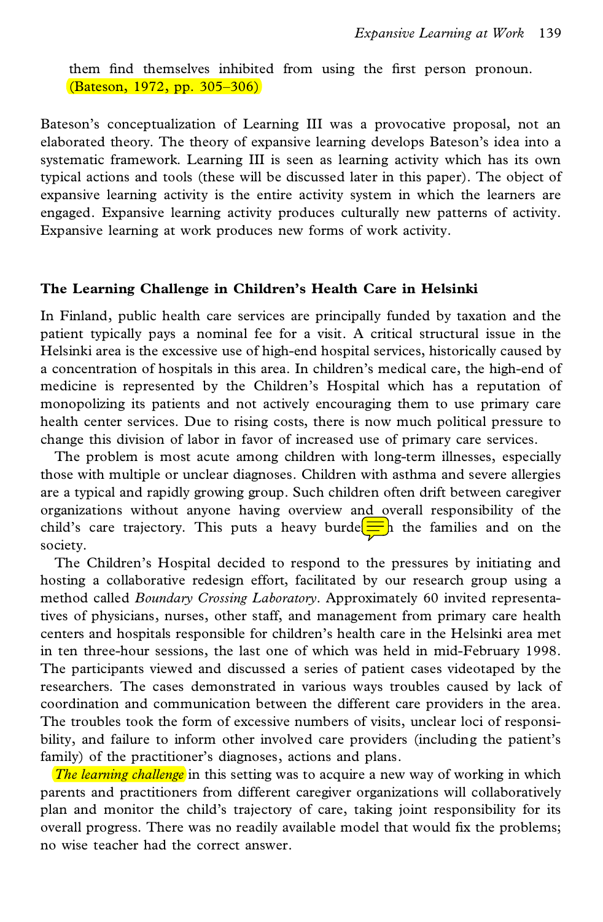them find themselves inhibited from using the first person pronoun. (Bateson, 1972, pp. 305–306)

Bateson's conceptualization of Learning III was a provocative proposal, not an elaborated theory. The theory of expansive learning develops Bateson's idea into a systematic framework. Learning III is seen as learning activity which has its own typical actions and tools (these will be discussed later in this paper). The object of expansive learning activity is the entire activity system in which the learners are engaged. Expansive learning activity produces culturally new patterns of activity. Expansive learning at work produces new forms of work activity.

#### **The Learning Challenge in Children's Health Care in Helsinki**

In Finland, public health care services are principally funded by taxation and the patient typically pays a nominal fee for a visit. A critical structural issue in the Helsinki area is the excessive use of high-end hospital services, historically caused by a concentration of hospitals in this area. In children's medical care, the high-end of medicine is represented by the Children's Hospital which has a reputation of monopolizing its patients and not actively encouraging them to use primary care health center services. Due to rising costs, there is now much political pressure to change this division of labor in favor of increased use of primary care services.

The problem is most acute among children with long-term illnesses, especially those with multiple or unclear diagnoses. Children with asthma and severe allergies are a typical and rapidly growing group. Such children often drift between caregiver organizations without anyone having overview and overall responsibility of the child's care trajectory. This puts a heavy burde $\equiv$  the families and on the society.

The Children's Hospital decided to respond to the pressures by initiating and hosting a collaborative redesign effort, facilitated by our research group using a method called *Boundary Crossing Laboratory*. Approximately 60 invited representatives of physicians, nurses, other staff, and management from primary care health centers and hospitals responsible for children's health care in the Helsinki area met in ten three-hour sessions, the last one of which was held in mid-February 1998. The participants viewed and discussed a series of patient cases videotaped by the researchers. The cases demonstrated in various ways troubles caused by lack of coordination and communication between the different care providers in the area. The troubles took the form of excessive numbers of visits, unclear loci of responsi bility, and failure to inform other involved care providers (including the patient's family) of the practitioner's diagnoses, actions and plans.

*The learning challenge* in this setting was to acquire a new way of working in which parents and practitioners from different caregiver organizations will collaboratively plan and monitor the child's trajectory of care, taking joint responsibility for its overall progress. There was no readily available model that would fix the problems; no wise teacher had the correct answer.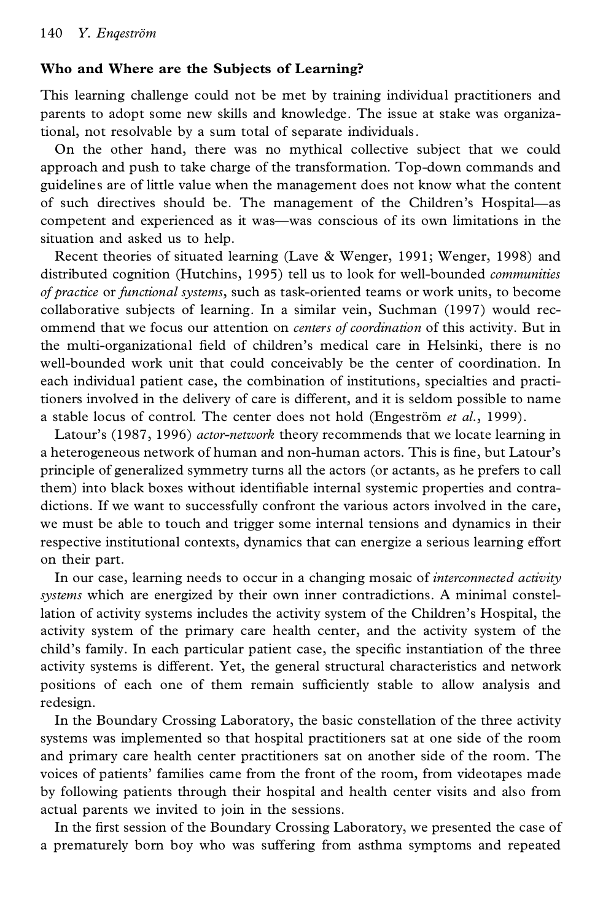### **Who and Where are the Subjects of Learning?**

This learning challenge could not be met by training individual practitioners and parents to adopt some new skills and knowledge. The issue at stake was organizational, not resolvable by a sum total of separate individuals.

On the other hand, there was no mythical collective subject that we could approach and push to take charge of the transformation. Top-down commands and guidelines are of little value when the management does not know what the content of such directives should be. The management of the Children's Hospital—as competent and experienced as it was—was conscious of its own limitations in the situation and asked us to help.

Recent theories of situated learning (Lave & Wenger, 1991; Wenger, 1998) and distributed cognition (Hutchins, 1995) tell us to look for well-bounded *communities of practice* or *functional systems*, such as task-oriented teams or work units, to become collaborative subjects of learning. In a similar vein, Suchman (1997) would rec ommend that we focus our attention on *centers of coordination* of this activity. But in the multi-organizational field of children's medical care in Helsinki, there is no well-bounded work unit that could conceivably be the center of coordination. In each individual patient case, the combination of institutions, specialties and practitioners involved in the delivery of care is different, and it is seldom possible to name a stable locus of control. The center does not hold (Engeström *et al.*, 1999).

Latour's (1987, 1996) *actor-network* theory recommends that we locate learning in a heterogeneous network of human and non-human actors. This is fine, but Latour's principle of generalized symmetry turns all the actors (or actants, as he prefers to call them) into black boxes without identifiable internal systemic properties and contradictions. If we want to successfully confront the various actors involved in the care, we must be able to touch and trigger some internal tensions and dynamics in their respective institutional contexts, dynamics that can energize a serious learning effort on their part.

In our case, learning needs to occur in a changing mosaic of *interconnected activity systems* which are energized by their own inner contradictions. A minimal constellation of activity systems includes the activity system of the Children's Hospital, the activity system of the primary care health center, and the activity system of the child's family. In each particular patient case, the specific instantiation of the three activity systems is different. Yet, the general structural characteristics and network positions of each one of them remain sufficiently stable to allow analysis and redesign.

In the Boundary Crossing Laboratory, the basic constellation of the three activity systems was implemented so that hospital practitioners sat at one side of the room and primary care health center practitioners sat on another side of the room. The voices of patients' families came from the front of the room, from videotapes made by following patients through their hospital and health center visits and also from actual parents we invited to join in the sessions.

In the first session of the Boundary Crossing Laboratory, we presented the case of a prematurely born boy who was suffering from asthma symptoms and repeated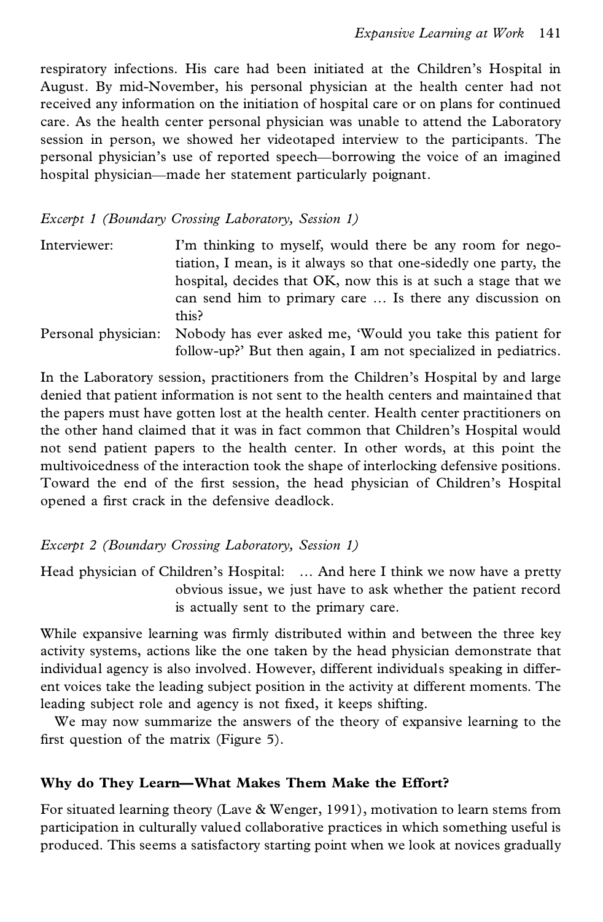respiratory infections. His care had been initiated at the Children's Hospital in August. By mid-November, his personal physician at the health center had not received any information on the initiation of hospital care or on plans for continued care. As the health center personal physician was unable to attend the Laboratory session in person, we showed her videotaped interview to the participants. The personal physician's use of reported speech—borrowing the voice of an imagined hospital physician—made her statement particularly poignant.

## *Excerpt 1 (Boundary Crossing Laboratory, Session 1)*

| Interviewer:        | I'm thinking to myself, would there be any room for nego-        |
|---------------------|------------------------------------------------------------------|
|                     | tiation, I mean, is it always so that one-sidedly one party, the |
|                     | hospital, decides that OK, now this is at such a stage that we   |
|                     | can send him to primary care  Is there any discussion on         |
|                     | this?                                                            |
| Personal physician: | Nobody has ever asked me, 'Would you take this patient for       |
|                     | follow-up?' But then again, I am not specialized in pediatrics.  |

In the Laboratory session, practitioners from the Children's Hospital by and large denied that patient information is not sent to the health centers and maintained that the papers must have gotten lost at the health center. Health center practitioners on the other hand claimed that it was in fact common that Children's Hospital would not send patient papers to the health center. In other words, at this point the multivoicedness of the interaction took the shape of interlocking defensive positions. Toward the end of the first session, the head physician of Children's Hospital opened a first crack in the defensive deadlock.

*Excerpt 2 (Boundary Crossing Laboratory, Session 1)*

Head physician of Children's Hospital: … And here I think we now have a pretty obvious issue, we just have to ask whether the patient record is actually sent to the primary care.

While expansive learning was firmly distributed within and between the three key activity systems, actions like the one taken by the head physician demonstrate that individual agency is also involved. However, different individuals speaking in differ ent voices take the leading subject position in the activity at different moments. The leading subject role and agency is not fixed, it keeps shifting.

We may now summarize the answers of the theory of expansive learning to the first question of the matrix (Figure  $5$ ).

# **Why do They Learn—What Makes Them Make the Effort?**

For situated learning theory (Lave & Wenger, 1991), motivation to learn stems from participation in culturally valued collaborative practices in which something useful is produced. This seems a satisfactory starting point when we look at novices gradually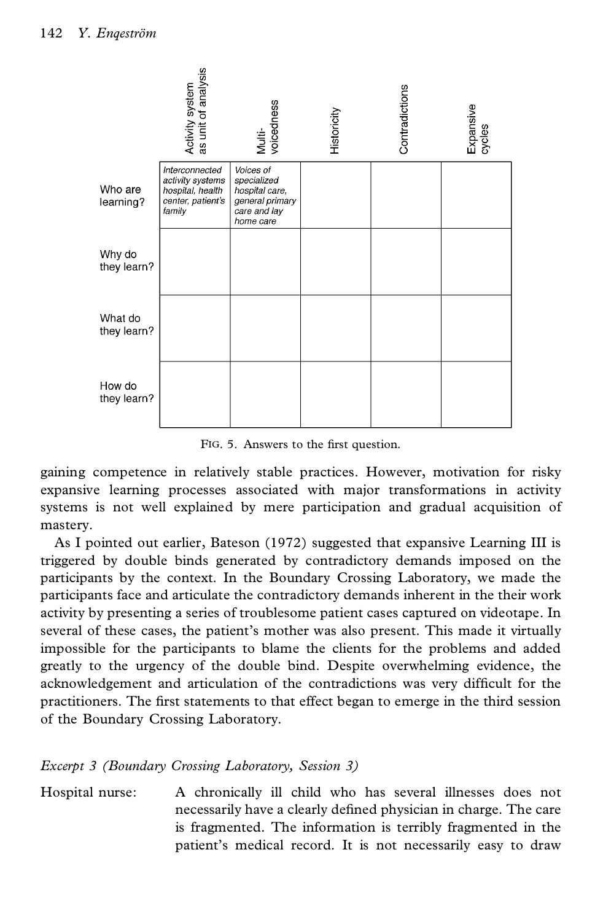

FIG. 5. Answers to the first question.

gaining competence in relatively stable practices. However, motivation for risky expansive learning processes associated with major transformations in activity systems is not well explained by mere participation and gradual acquisition of mastery.

As I pointed out earlier, Bateson (1972) suggested that expansive Learning III is triggered by double binds generated by contradictory demands imposed on the participants by the context. In the Boundary Crossing Laboratory, we made the participants face and articulate the contradictory demands inherent in the their work activity by presenting a series of troublesome patient cases captured on videotape. In several of these cases, the patient's mother was also present. This made it virtually impossible for the participants to blame the clients for the problems and added greatly to the urgency of the double bind. Despite overwhelming evidence, the acknowledgement and articulation of the contradictions was very difficult for the practitioners. The first statements to that effect began to emerge in the third session of the Boundary Crossing Laboratory.

*Excerpt 3 (Boundary Crossing Laboratory, Session 3)*

Hospital nurse: A chronically ill child who has several illnesses does not necessarily have a clearly defined physician in charge. The care is fragmented. The information is terribly fragmented in the patient's medical record. It is not necessarily easy to draw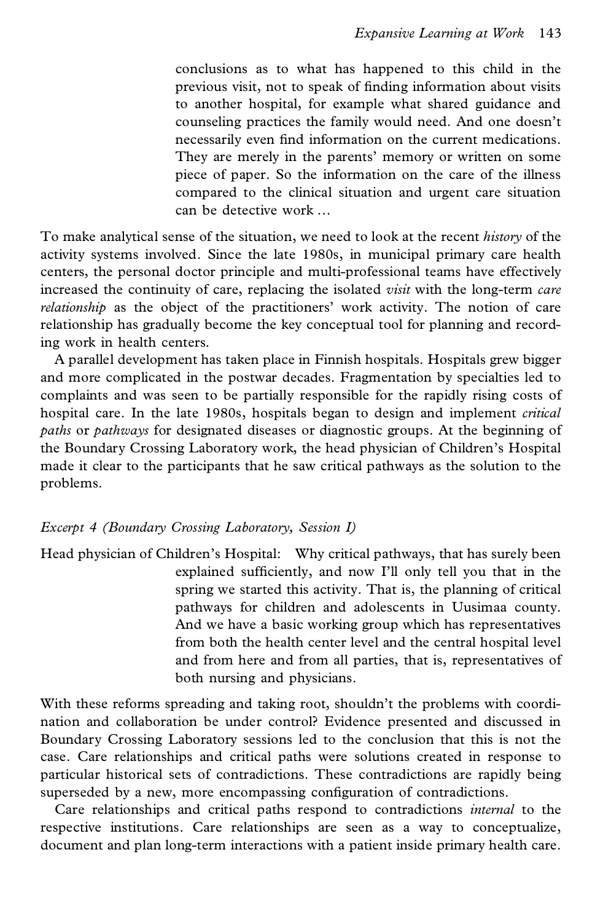conclusions as to what has happened to this child in the previous visit, not to speak of finding information about visits to another hospital, for example what shared guidance and counseling practices the family would need. And one doesn't necessarily even find information on the current medications. They are merely in the parents' memory or written on some piece of paper. So the information on the care of the illness compared to the clinical situation and urgent care situation can be detective work …

To make analytical sense of the situation, we need to look at the recent *history* of the activity systems involved. Since the late 1980s, in municipal primary care health centers, the personal doctor principle and multi-professional teams have effectively increased the continuity of care, replacing the isolated *visit* with the long-term *care relationship* as the object of the practitioners' work activity. The notion of care relationship has gradually become the key conceptual tool for planning and recording work in health centers.

A parallel development has taken place in Finnish hospitals. Hospitals grew bigger and more complicated in the postwar decades. Fragmentation by specialties led to complaints and was seen to be partially responsible for the rapidly rising costs of hospital care. In the late 1980s, hospitals began to design and implement *critical paths* or *pathways* for designated diseases or diagnostic groups. At the beginning of the Boundary Crossing Laboratory work, the head physician of Children's Hospital made it clear to the participants that he saw critical pathways as the solution to the problems.

#### *Excerpt 4 (Boundary Crossing Laboratory, Session I)*

Head physician of Children's Hospital: Why critical pathways, that has surely been explained sufficiently, and now I'll only tell you that in the spring we started this activity. That is, the planning of critical pathways for children and adolescents in Uusimaa county. And we have a basic working group which has representatives from both the health center level and the central hospital level and from here and from all parties, that is, representatives of both nursing and physicians.

With these reforms spreading and taking root, shouldn't the problems with coordination and collaboration be under control? Evidence presented and discussed in Boundary Crossing Laboratory sessions led to the conclusion that this is not the case. Care relationships and critical paths were solutions created in response to particular historical sets of contradictions. These contradictions are rapidly being superseded by a new, more encompassing configuration of contradictions.

Care relationships and critical paths respond to contradictions *internal* to the respective institutions. Care relationships are seen as a way to conceptualize, document and plan long-term interactions with a patient inside primary health care.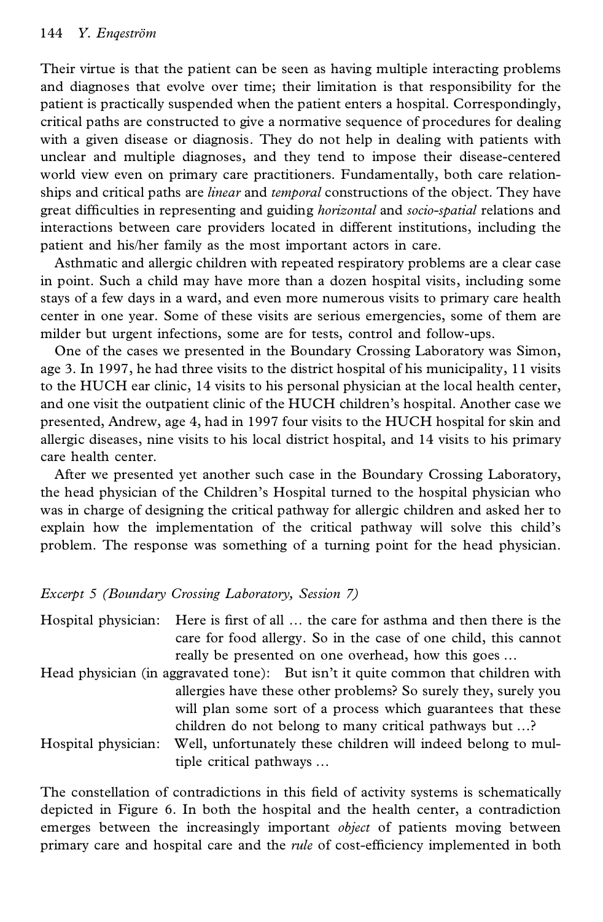Their virtue is that the patient can be seen as having multiple interacting problems and diagnoses that evolve over time; their limitation is that responsibility for the patient is practically suspended when the patient enters a hospital. Correspondingly, critical paths are constructed to give a normative sequence of procedures for dealing with a given disease or diagnosis. They do not help in dealing with patients with unclear and multiple diagnoses, and they tend to impose their disease-centered world view even on primary care practitioners. Fundamentally, both care relationships and critical paths are *linear* and *temporal* constructions of the object. They have great dif culties in representing and guiding *horizontal* and *socio-spatial* relations and interactions between care providers located in different institutions, including the patient and his/her family as the most important actors in care.

Asthmatic and allergic children with repeated respiratory problems are a clear case in point. Such a child may have more than a dozen hospital visits, including some stays of a few days in a ward, and even more numerous visits to primary care health center in one year. Some of these visits are serious emergencies, some of them are milder but urgent infections, some are for tests, control and follow-ups.

One of the cases we presented in the Boundary Crossing Laboratory was Simon, age 3. In 1997, he had three visits to the district hospital of his municipality, 11 visits to the HUCH ear clinic, 14 visits to his personal physician at the local health center, and one visit the outpatient clinic of the HUCH children's hospital. Another case we presented, Andrew, age 4, had in 1997 four visits to the HUCH hospital for skin and allergic diseases, nine visits to his local district hospital, and 14 visits to his primary care health center.

After we presented yet another such case in the Boundary Crossing Laboratory, the head physician of the Children's Hospital turned to the hospital physician who was in charge of designing the critical pathway for allergic children and asked her to explain how the implementation of the critical pathway will solve this child's problem. The response was something of a turning point for the head physician.

*Excerpt 5 (Boundary Crossing Laboratory, Session 7)*

| Hospital physician:                                                               | Here is first of all  the care for asthma and then there is the |  |
|-----------------------------------------------------------------------------------|-----------------------------------------------------------------|--|
|                                                                                   | care for food allergy. So in the case of one child, this cannot |  |
|                                                                                   | really be presented on one overhead, how this goes              |  |
| Head physician (in aggravated tone): But isn't it quite common that children with |                                                                 |  |
|                                                                                   | allergies have these other problems? So surely they, surely you |  |
|                                                                                   | will plan some sort of a process which guarantees that these    |  |
|                                                                                   | children do not belong to many critical pathways but ?          |  |
| Hospital physician:                                                               | Well, unfortunately these children will indeed belong to mul-   |  |
|                                                                                   | tiple critical pathways                                         |  |

The constellation of contradictions in this field of activity systems is schematically depicted in Figure 6. In both the hospital and the health center, a contradiction emerges between the increasingly important *object* of patients moving between primary care and hospital care and the *rule* of cost-efficiency implemented in both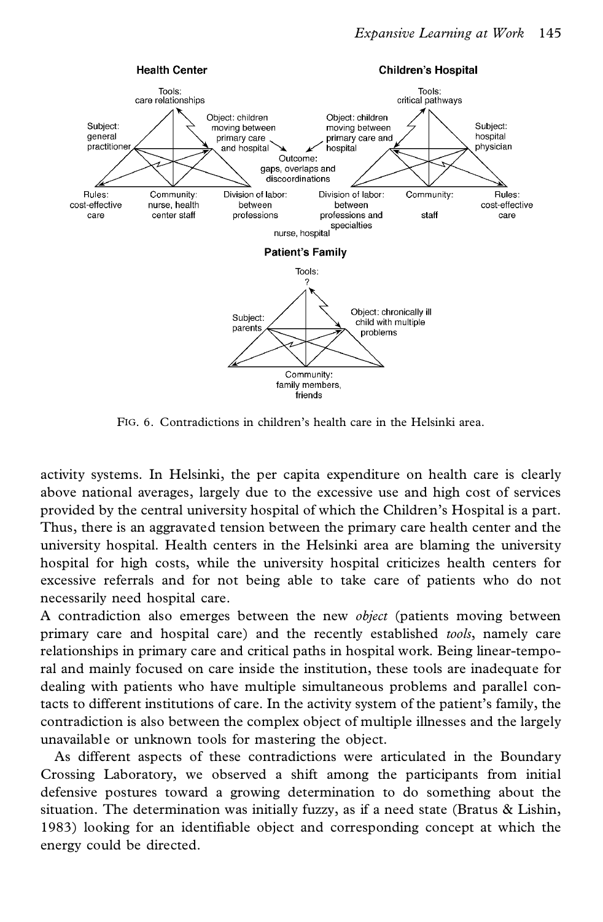

FIG. 6. Contradictions in children's health care in the Helsinki area.

activity systems. In Helsinki, the per capita expenditure on health care is clearly above national averages, largely due to the excessive use and high cost of services provided by the central university hospital of which the Children's Hospital is a part. Thus, there is an aggravated tension between the primary care health center and the university hospital. Health centers in the Helsinki area are blaming the university hospital for high costs, while the university hospital criticizes health centers for excessive referrals and for not being able to take care of patients who do not necessarily need hospital care.

A contradiction also emerges between the new *object* (patients moving between primary care and hospital care) and the recently established *tools*, namely care relationships in primary care and critical paths in hospital work. Being linear-temporal and mainly focused on care inside the institution, these tools are inadequate for dealing with patients who have multiple simultaneous problems and parallel contacts to different institutions of care. In the activity system of the patient's family, the contradiction is also between the complex object of multiple illnesses and the largely unavailable or unknown tools for mastering the object.

As different aspects of these contradictions were articulated in the Boundary Crossing Laboratory, we observed a shift among the participants from initial defensive postures toward a growing determination to do something about the situation. The determination was initially fuzzy, as if a need state (Bratus & Lishin, 1983) looking for an identifiable object and corresponding concept at which the energy could be directed.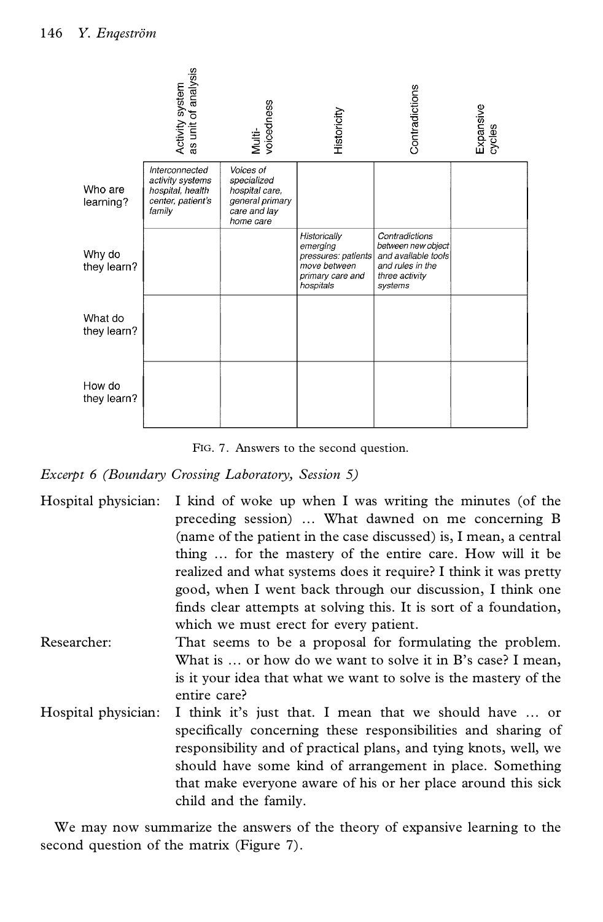

FIG. 7. Answers to the second question.

## *Excerpt 6 (Boundary Crossing Laboratory, Session 5)*

|  | Hospital physician: I kind of woke up when I was writing the minutes (of the |
|--|------------------------------------------------------------------------------|
|  | preceding session)  What dawned on me concerning B                           |
|  | (name of the patient in the case discussed) is, I mean, a central            |
|  | thing  for the mastery of the entire care. How will it be                    |
|  | realized and what systems does it require? I think it was pretty             |
|  | good, when I went back through our discussion, I think one                   |
|  | finds clear attempts at solving this. It is sort of a foundation,            |
|  | which we must erect for every patient.                                       |
|  |                                                                              |

- Researcher: That seems to be a proposal for formulating the problem. What is ... or how do we want to solve it in B's case? I mean, is it your idea that what we want to solve is the mastery of the entire care?
- Hospital physician: I think it's just that. I mean that we should have … or specifically concerning these responsibilities and sharing of responsibility and of practical plans, and tying knots, well, we should have some kind of arrangement in place. Something that make everyone aware of his or her place around this sick child and the family.

We may now summarize the answers of the theory of expansive learning to the second question of the matrix (Figure 7).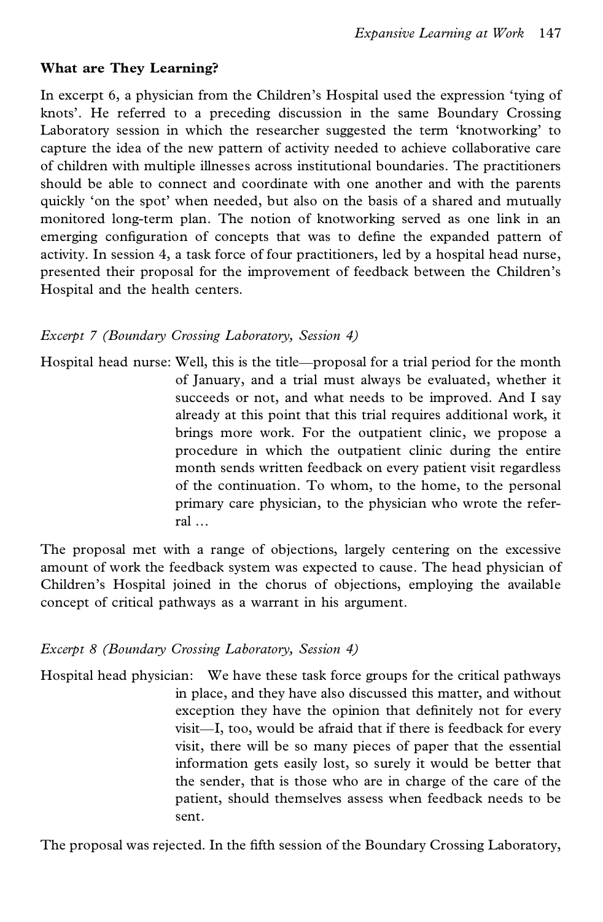# **What are They Learning?**

In excerpt 6, a physician from the Children's Hospital used the expression 'tying of knots'. He referred to a preceding discussion in the same Boundary Crossing Laboratory session in which the researcher suggested the term 'knotworking' to capture the idea of the new pattern of activity needed to achieve collaborative care of children with multiple illnesses across institutional boundaries. The practitioners should be able to connect and coordinate with one another and with the parents quickly 'on the spot' when needed, but also on the basis of a shared and mutually monitored long-term plan. The notion of knotworking served as one link in an emerging configuration of concepts that was to define the expanded pattern of activity. In session 4, a task force of four practitioners, led by a hospital head nurse, presented their proposal for the improvement of feedback between the Children's Hospital and the health centers.

# *Excerpt 7 (Boundary Crossing Laboratory, Session 4)*

Hospital head nurse: Well, this is the title—proposal for a trial period for the month of January, and a trial must always be evaluated, whether it succeeds or not, and what needs to be improved. And I say already at this point that this trial requires additional work, it brings more work. For the outpatient clinic, we propose a procedure in which the outpatient clinic during the entire month sends written feedback on every patient visit regardless of the continuation. To whom, to the home, to the personal primary care physician, to the physician who wrote the referral …

The proposal met with a range of objections, largely centering on the excessive amount of work the feedback system was expected to cause. The head physician of Children's Hospital joined in the chorus of objections, employing the available concept of critical pathways as a warrant in his argument.

## *Excerpt 8 (Boundary Crossing Laboratory, Session 4)*

Hospital head physician: We have these task force groups for the critical pathways in place, and they have also discussed this matter, and without exception they have the opinion that definitely not for every visit—I, too, would be afraid that if there is feedback for every visit, there will be so many pieces of paper that the essential information gets easily lost, so surely it would be better that the sender, that is those who are in charge of the care of the patient, should themselves assess when feedback needs to be sent.

The proposal was rejected. In the fth session of the Boundary Crossing Laboratory,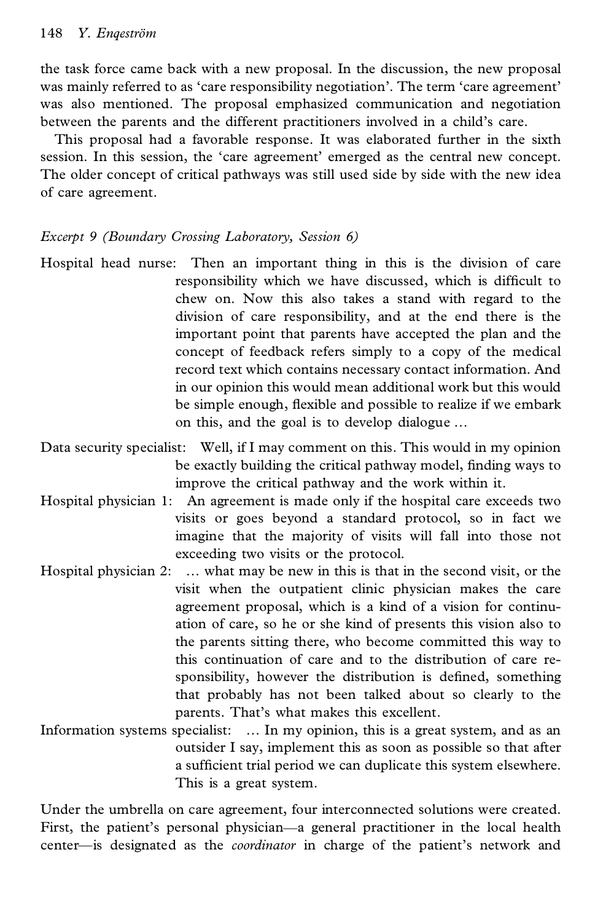the task force came back with a new proposal. In the discussion, the new proposal was mainly referred to as 'care responsibility negotiation'. The term 'care agreement' was also mentioned. The proposal emphasized communication and negotiation between the parents and the different practitioners involved in a child's care.

This proposal had a favorable response. It was elaborated further in the sixth session. In this session, the 'care agreement' emerged as the central new concept. The older concept of critical pathways was still used side by side with the new idea of care agreement.

## *Excerpt 9 (Boundary Crossing Laboratory, Session 6)*

- Hospital head nurse: Then an important thing in this is the division of care responsibility which we have discussed, which is difficult to chew on. Now this also takes a stand with regard to the division of care responsibility, and at the end there is the important point that parents have accepted the plan and the concept of feedback refers simply to a copy of the medical record text which contains necessary contact information. And in our opinion this would mean additional work but this would be simple enough, flexible and possible to realize if we embark on this, and the goal is to develop dialogue …
- Data security specialist: Well, if I may comment on this. This would in my opinion be exactly building the critical pathway model, finding ways to improve the critical pathway and the work within it.
- Hospital physician 1: An agreement is made only if the hospital care exceeds two visits or goes beyond a standard protocol, so in fact we imagine that the majority of visits will fall into those not exceeding two visits or the protocol.
- Hospital physician 2: … what may be new in this is that in the second visit, or the visit when the outpatient clinic physician makes the care agreement proposal, which is a kind of a vision for continu ation of care, so he or she kind of presents this vision also to the parents sitting there, who become committed this way to this continuation of care and to the distribution of care responsibility, however the distribution is defined, something that probably has not been talked about so clearly to the parents. That's what makes this excellent.
- Information systems specialist: … In my opinion, this is a great system, and as an outsider I say, implement this as soon as possible so that after a sufficient trial period we can duplicate this system elsewhere. This is a great system.

Under the umbrella on care agreement, four interconnected solutions were created. First, the patient's personal physician—a general practitioner in the local health center—is designated as the *coordinator* in charge of the patient's network and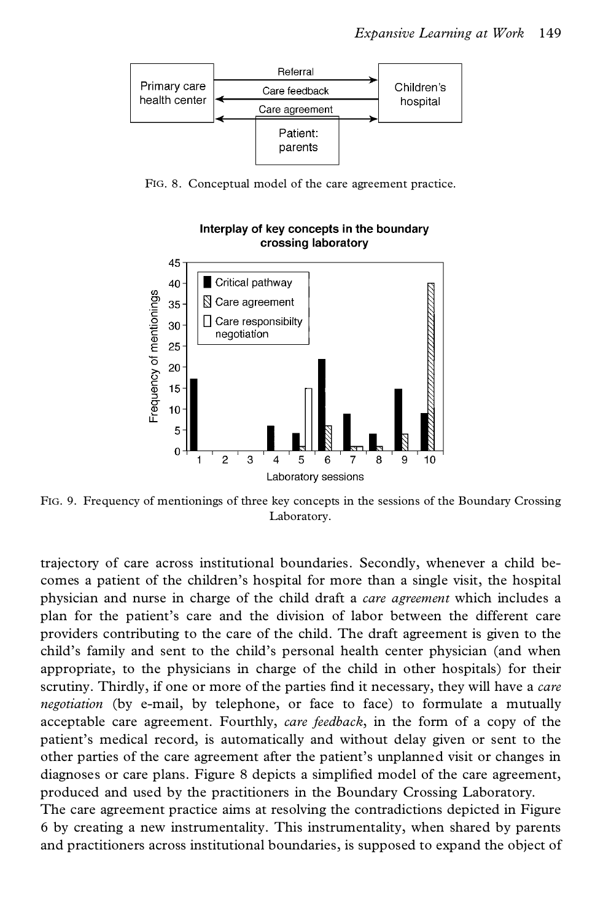

FIG. 8. Conceptual model of the care agreement practice.



#### Interplay of key concepts in the boundary crossing laboratory

FIG. 9. Frequency of mentionings of three key concepts in the sessions of the Boundary Crossing Laboratory.

trajectory of care across institutional boundaries. Secondly, whenever a child be comes a patient of the children's hospital for more than a single visit, the hospital physician and nurse in charge of the child draft a *care agreement* which includes a plan for the patient's care and the division of labor between the different care providers contributing to the care of the child. The draft agreement is given to the child's family and sent to the child's personal health center physician (and when appropriate, to the physicians in charge of the child in other hospitals) for their scrutiny. Thirdly, if one or more of the parties find it necessary, they will have a *care negotiation* (by e-mail, by telephone, or face to face) to formulate a mutually acceptable care agreement. Fourthly, *care feedback*, in the form of a copy of the patient's medical record, is automatically and without delay given or sent to the other parties of the care agreement after the patient's unplanned visit or changes in diagnoses or care plans. Figure 8 depicts a simplified model of the care agreement, produced and used by the practitioners in the Boundary Crossing Laboratory.

The care agreement practice aims at resolving the contradictions depicted in Figure 6 by creating a new instrumentality. This instrumentality, when shared by parents and practitioners across institutional boundaries, is supposed to expand the object of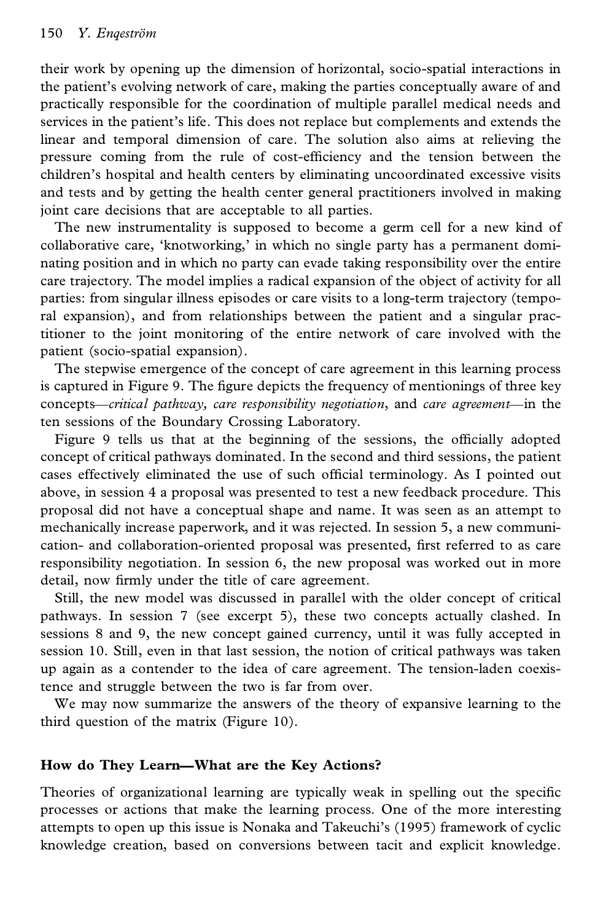their work by opening up the dimension of horizontal, socio-spatial interactions in the patient's evolving network of care, making the parties conceptually aware of and practically responsible for the coordination of multiple parallel medical needs and services in the patient's life. This does not replace but complements and extends the linear and temporal dimension of care. The solution also aims at relieving the pressure coming from the rule of cost-efficiency and the tension between the children's hospital and health centers by eliminating uncoordinated excessive visits and tests and by getting the health center general practitioners involved in making joint care decisions that are acceptable to all parties.

The new instrumentality is supposed to become a germ cell for a new kind of collaborative care, 'knotworking,' in which no single party has a permanent domi nating position and in which no party can evade taking responsibility over the entire care trajectory. The model implies a radical expansion of the object of activity for all parties: from singular illness episodes or care visits to a long-term trajectory (temporal expansion), and from relationships between the patient and a singular practitioner to the joint monitoring of the entire network of care involved with the patient (socio-spatial expansion).

The stepwise emergence of the concept of care agreement in this learning process is captured in Figure 9. The figure depicts the frequency of mentionings of three key concepts—*critical pathway, care responsibility negotiation*, and *care agreement*—in the ten sessions of the Boundary Crossing Laboratory.

Figure 9 tells us that at the beginning of the sessions, the officially adopted concept of critical pathways dominated. In the second and third sessions, the patient cases effectively eliminated the use of such official terminology. As I pointed out above, in session 4 a proposal was presented to test a new feedback procedure. This proposal did not have a conceptual shape and name. It was seen as an attempt to mechanically increase paperwork, and it was rejected. In session 5, a new communi cation- and collaboration-oriented proposal was presented, first referred to as care responsibility negotiation. In session 6, the new proposal was worked out in more detail, now firmly under the title of care agreement.

Still, the new model was discussed in parallel with the older concept of critical pathways. In session 7 (see excerpt 5), these two concepts actually clashed. In sessions 8 and 9, the new concept gained currency, until it was fully accepted in session 10. Still, even in that last session, the notion of critical pathways was taken up again as a contender to the idea of care agreement. The tension-laden coexistence and struggle between the two is far from over.

We may now summarize the answers of the theory of expansive learning to the third question of the matrix (Figure 10).

## **How do They Learn—What are the Key Actions?**

Theories of organizational learning are typically weak in spelling out the specific processes or actions that make the learning process. One of the more interesting attempts to open up this issue is Nonaka and Takeuchi's (1995) framework of cyclic knowledge creation, based on conversions between tacit and explicit knowledge.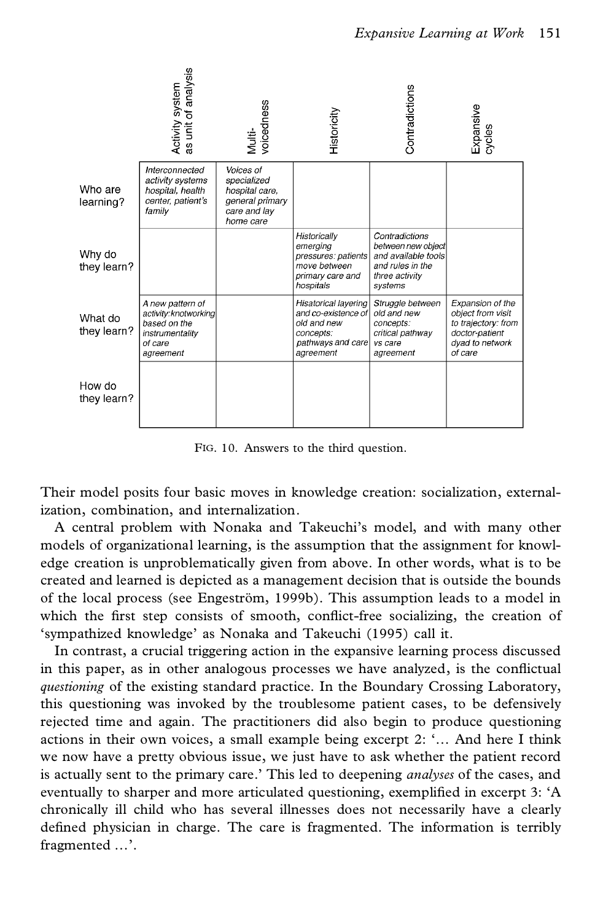

FIG. 10. Answers to the third question.

Their model posits four basic moves in knowledge creation: socialization, externalization, combination, and internalization.

A central problem with Nonaka and Takeuchi's model, and with many other models of organizational learning, is the assumption that the assignment for knowl edge creation is unproblematically given from above. In other words, what is to be created and learned is depicted as a management decision that is outside the bounds of the local process (see Engeström, 1999b). This assumption leads to a model in which the first step consists of smooth, conflict-free socializing, the creation of 'sympathized knowledge' as Nonaka and Takeuchi (1995) call it.

In contrast, a crucial triggering action in the expansive learning process discussed in this paper, as in other analogous processes we have analyzed, is the conflictual *questioning* of the existing standard practice. In the Boundary Crossing Laboratory, this questioning was invoked by the troublesome patient cases, to be defensively rejected time and again. The practitioners did also begin to produce questioning actions in their own voices, a small example being excerpt 2: '… And here I think we now have a pretty obvious issue, we just have to ask whether the patient record is actually sent to the primary care.' This led to deepening *analyses* of the cases, and eventually to sharper and more articulated questioning, exemplified in excerpt 3: 'A chronically ill child who has several illnesses does not necessarily have a clearly defined physician in charge. The care is fragmented. The information is terribly fragmented …'.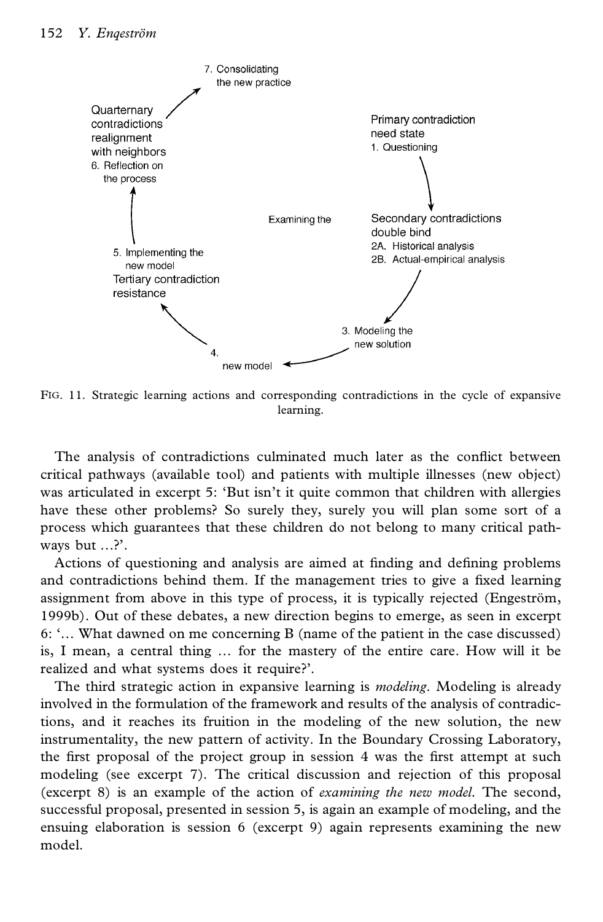

FIG. 11. Strategic learning actions and corresponding contradictions in the cycle of expansive learning.

The analysis of contradictions culminated much later as the conflict between critical pathways (available tool) and patients with multiple illnesses (new object) was articulated in excerpt 5: 'But isn't it quite common that children with allergies have these other problems? So surely they, surely you will plan some sort of a process which guarantees that these children do not belong to many critical path ways but …?'.

Actions of questioning and analysis are aimed at finding and defining problems and contradictions behind them. If the management tries to give a fixed learning assignment from above in this type of process, it is typically rejected (Engeström, 1999b). Out of these debates, a new direction begins to emerge, as seen in excerpt 6: '… What dawned on me concerning B (name of the patient in the case discussed) is, I mean, a central thing … for the mastery of the entire care. How will it be realized and what systems does it require?'.

The third strategic action in expansive learning is *modeling*. Modeling is already involved in the formulation of the framework and results of the analysis of contradictions, and it reaches its fruition in the modeling of the new solution, the new instrumentality, the new pattern of activity. In the Boundary Crossing Laboratory, the first proposal of the project group in session  $4$  was the first attempt at such modeling (see excerpt 7). The critical discussion and rejection of this proposal (excerpt 8) is an example of the action of *examining the new model*. The second, successful proposal, presented in session 5, is again an example of modeling, and the ensuing elaboration is session 6 (excerpt 9) again represents examining the new model.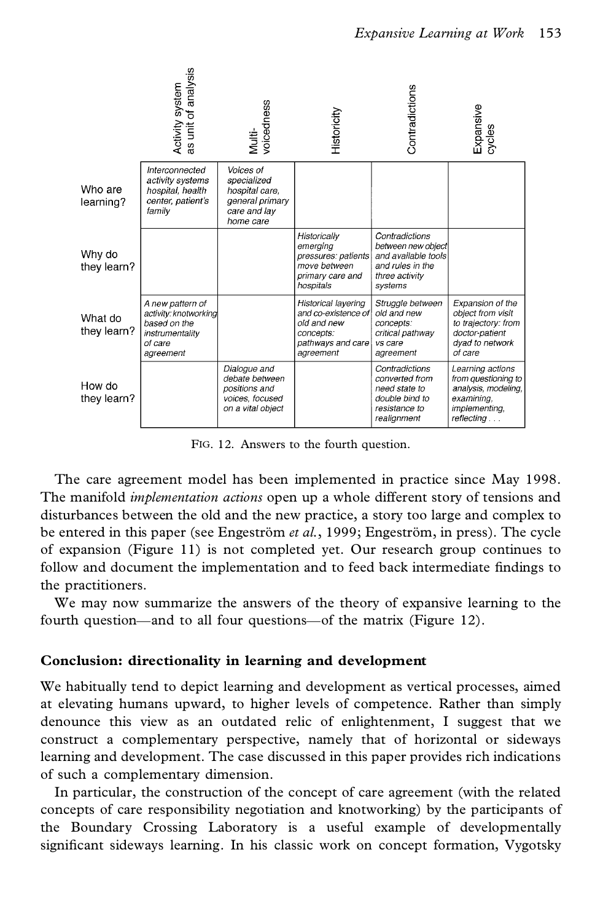

FIG. 12. Answers to the fourth question.

The care agreement model has been implemented in practice since May 1998. The manifold *implementation actions* open up a whole different story of tensions and disturbances between the old and the new practice, a story too large and complex to be entered in this paper (see Engeström *et al.*, 1999; Engeström, in press). The cycle of expansion (Figure 11) is not completed yet. Our research group continues to follow and document the implementation and to feed back intermediate findings to the practitioners.

We may now summarize the answers of the theory of expansive learning to the fourth question—and to all four questions—of the matrix (Figure 12).

## **Conclusion: directionality in learning and development**

We habitually tend to depict learning and development as vertical processes, aimed at elevating humans upward, to higher levels of competence. Rather than simply denounce this view as an outdated relic of enlightenment, I suggest that we construct a complementary perspective, namely that of horizontal or sideways learning and development. The case discussed in this paper provides rich indications of such a complementary dimension.

In particular, the construction of the concept of care agreement (with the related concepts of care responsibility negotiation and knotworking) by the participants of the Boundary Crossing Laboratory is a useful example of developmentally significant sideways learning. In his classic work on concept formation, Vygotsky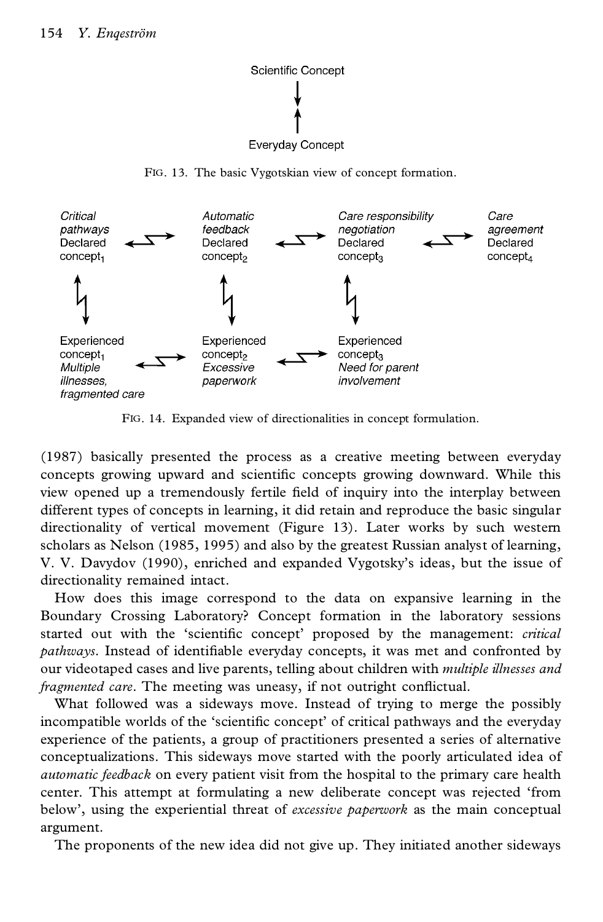

FIG. 13. The basic Vygotskian view of concept formation.



FIG. 14. Expanded view of directionalities in concept formulation.

(1987) basically presented the process as a creative meeting between everyday concepts growing upward and scientific concepts growing downward. While this view opened up a tremendously fertile field of inquiry into the interplay between different types of concepts in learning, it did retain and reproduce the basic singular directionality of vertical movement (Figure 13). Later works by such western scholars as Nelson (1985, 1995) and also by the greatest Russian analyst of learning, V. V. Davydov (1990), enriched and expanded Vygotsky's ideas, but the issue of directionality remained intact.

How does this image correspond to the data on expansive learning in the Boundary Crossing Laboratory? Concept formation in the laboratory sessions started out with the 'scientific concept' proposed by the management: *critical pathways*. Instead of identifiable everyday concepts, it was met and confronted by our videotaped cases and live parents, telling about children with *multiple illnesses and fragmented care*. The meeting was uneasy, if not outright conflictual.

What followed was a sideways move. Instead of trying to merge the possibly incompatible worlds of the 'scientific concept' of critical pathways and the everyday experience of the patients, a group of practitioners presented a series of alternative conceptualizations. This sideways move started with the poorly articulated idea of *automatic feedback* on every patient visit from the hospital to the primary care health center. This attempt at formulating a new deliberate concept was rejected 'from below', using the experiential threat of *excessive paperwork* as the main conceptual argument.

The proponents of the new idea did not give up. They initiated another sideways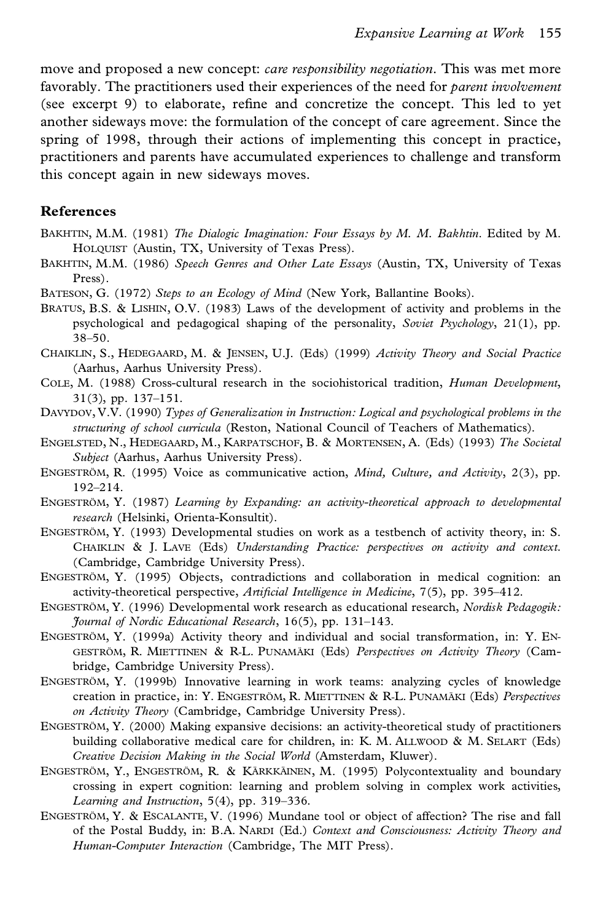move and proposed a new concept: *care responsibility negotiation*. This was met more favorably. The practitioners used their experiences of the need for *parent involvement* (see excerpt  $9$ ) to elaborate, refine and concretize the concept. This led to yet another sideways move: the formulation of the concept of care agreement. Since the spring of 1998, through their actions of implementing this concept in practice, practitioners and parents have accumulated experiences to challenge and transform this concept again in new sideways moves.

#### **References**

- BAKHTIN, M.M. (1981) *The Dialogic Imagination: Four Essays by M. M. Bakhtin*. Edited by M. HOLQUIST (Austin, TX, University of Texas Press).
- BAKHTIN, M.M. (1986) *Speech Genres and Other Late Essays* (Austin, TX, University of Texas Press).
- BATESON, G. (1972) *Steps to an Ecology of Mind* (New York, Ballantine Books).
- BRATUS, B.S. & LISHIN, O.V. (1983) Laws of the development of activity and problems in the psychological and pedagogical shaping of the personality, *Soviet Psychology*, 21(1), pp. 38–50.
- CHAIKLIN, S., HEDEGAARD, M. & JENSEN, U.J. (Eds) (1999) *Activity Theory and Social Practice* (Aarhus, Aarhus University Press).
- COLE, M. (1988) Cross-cultural research in the sociohistorical tradition, *Human Development*, 31(3), pp. 137–151.
- DAVYDOV, V.V. (1990) *Types of Generalization in Instruction: Logical and psychological problems in the structuring of school curricula* (Reston, National Council of Teachers of Mathematics).
- ENGELSTED, N., HEDEGAARD, M., KARPATSCHOF, B. & MORTENSEN, A. (Eds) (1993) *The Societal Subject* (Aarhus, Aarhus University Press).
- ENGESTRÖM, R. (1995) Voice as communicative action, *Mind, Culture, and Activity*, 2(3), pp. 192–214.
- ENGESTRO¨ M, Y. (1987) *Learning by Expanding: an activity-theoretical approach to developmental research* (Helsinki, Orienta-Konsultit).
- ENGESTRÖM, Y. (1993) Developmental studies on work as a testbench of activity theory, in: S. CHAIKLIN & J. LAVE (Eds) *Understanding Practice: perspectives on activity and context*. (Cambridge, Cambridge University Press).
- ENGESTRÖM, Y. (1995) Objects, contradictions and collaboration in medical cognition: an activity-theoretical perspective, *Arti cial Intelligence in Medicine*, 7(5), pp. 395–412.
- ENGESTRO¨ M, Y. (1996) Developmental work research as educational research, *Nordisk Pedagogik: Journal of Nordic Educational Research*, 16(5), pp. 131–143.
- ENGESTRÖM, Y. (1999a) Activity theory and individual and social transformation, in: Y. EN-GESTRÖM, R. MIETTINEN & R-L. PUNAMÄKI (Eds) Perspectives on Activity Theory (Cambridge, Cambridge University Press).
- ENGESTRÖM, Y. (1999b) Innovative learning in work teams: analyzing cycles of knowledge creation in practice, in: Y. ENGESTRÖM, R. MIETTINEN & R-L. PUNAMÄKI (Eds) *Perspectives on Activity Theory* (Cambridge, Cambridge University Press).
- ENGESTRÖM, Y. (2000) Making expansive decisions: an activity-theoretical study of practitioners building collaborative medical care for children, in: K. M. ALLWOOD & M. SELART (Eds) *Creative Decision Making in the Social World* (Amsterdam, Kluwer).
- ENGESTRÖM, Y., ENGESTRÖM, R. & KÄRKKÄINEN, M. (1995) Polycontextuality and boundary crossing in expert cognition: learning and problem solving in complex work activities, *Learning and Instruction*, 5(4), pp. 319–336.
- ENGESTRÖM, Y. & ESCALANTE, V. (1996) Mundane tool or object of affection? The rise and fall of the Postal Buddy, in: B.A. NARDI (Ed.) *Context and Consciousness: Activity Theory and Human-Computer Interaction* (Cambridge, The MIT Press).